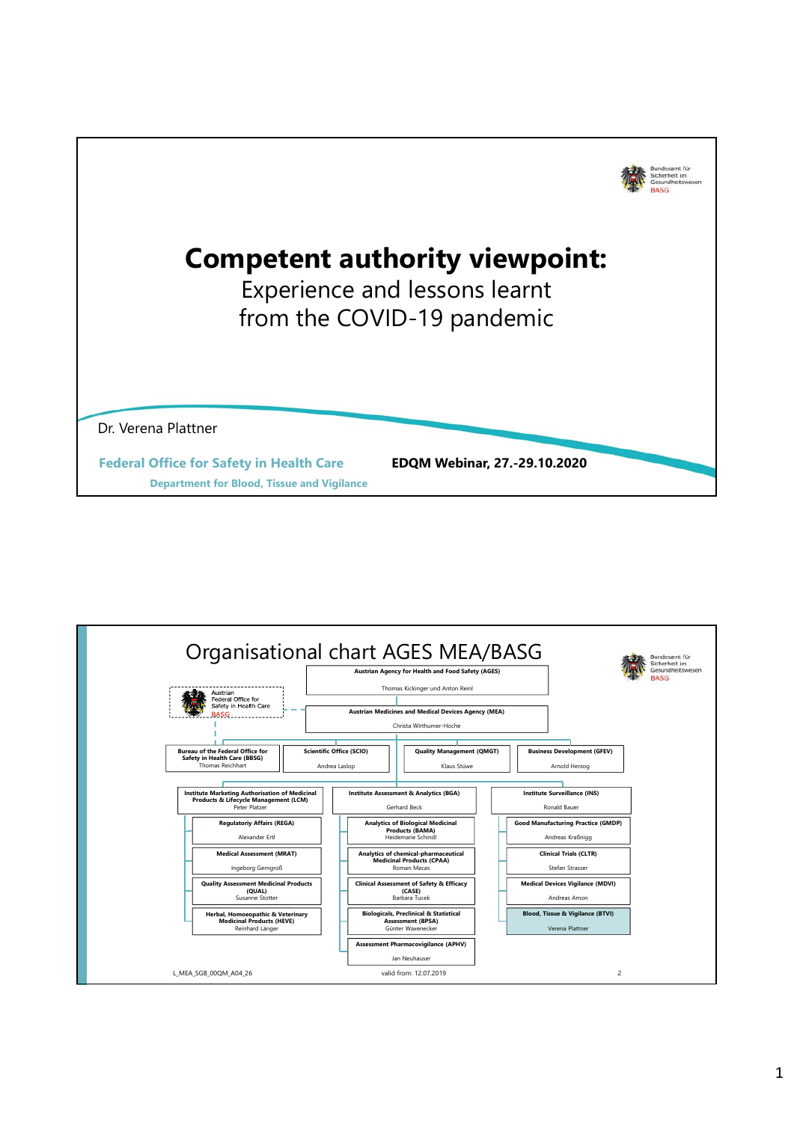

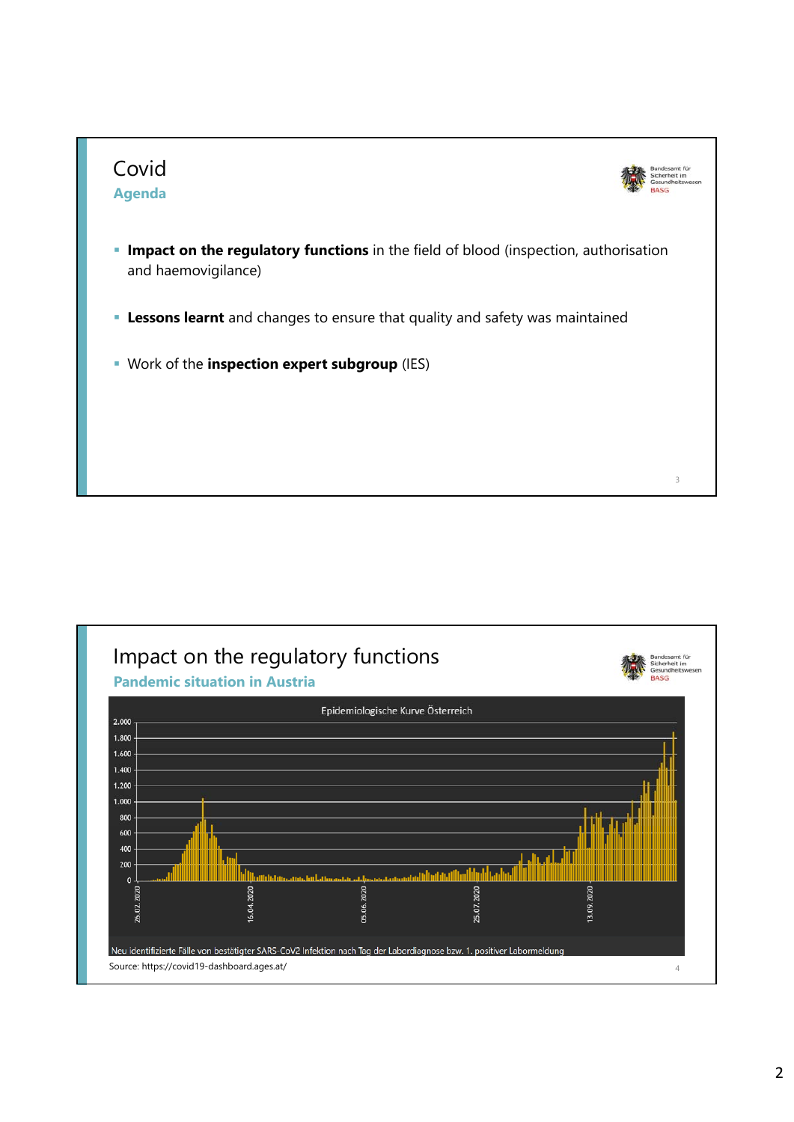

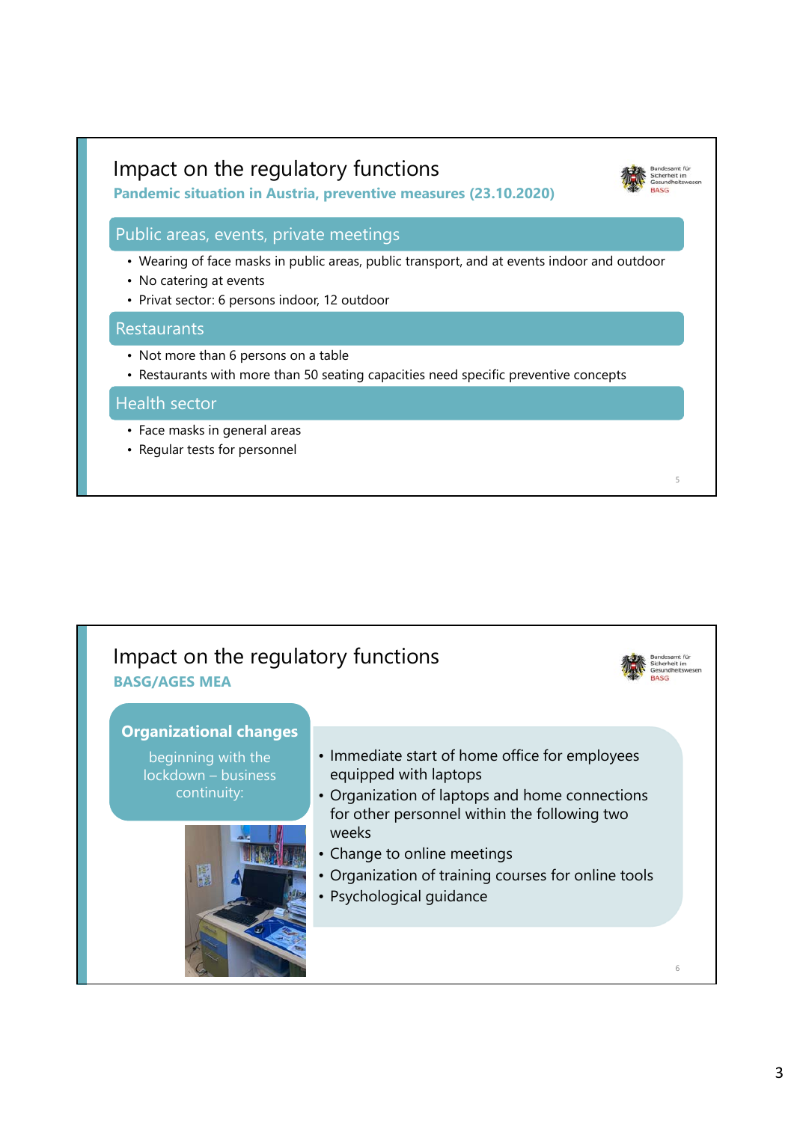### Impact on the regulatory functions

**Pandemic situation in Austria, preventive measures (23.10.2020)**

### Public areas, events, private meetings

- Wearing of face masks in public areas, public transport, and at events indoor and outdoor
- No catering at events
- Privat sector: 6 persons indoor, 12 outdoor

#### **Restaurants**

- Not more than 6 persons on a table
- Restaurants with more than 50 seating capacities need specific preventive concepts

#### Health sector

- Face masks in general areas
- Regular tests for personnel



5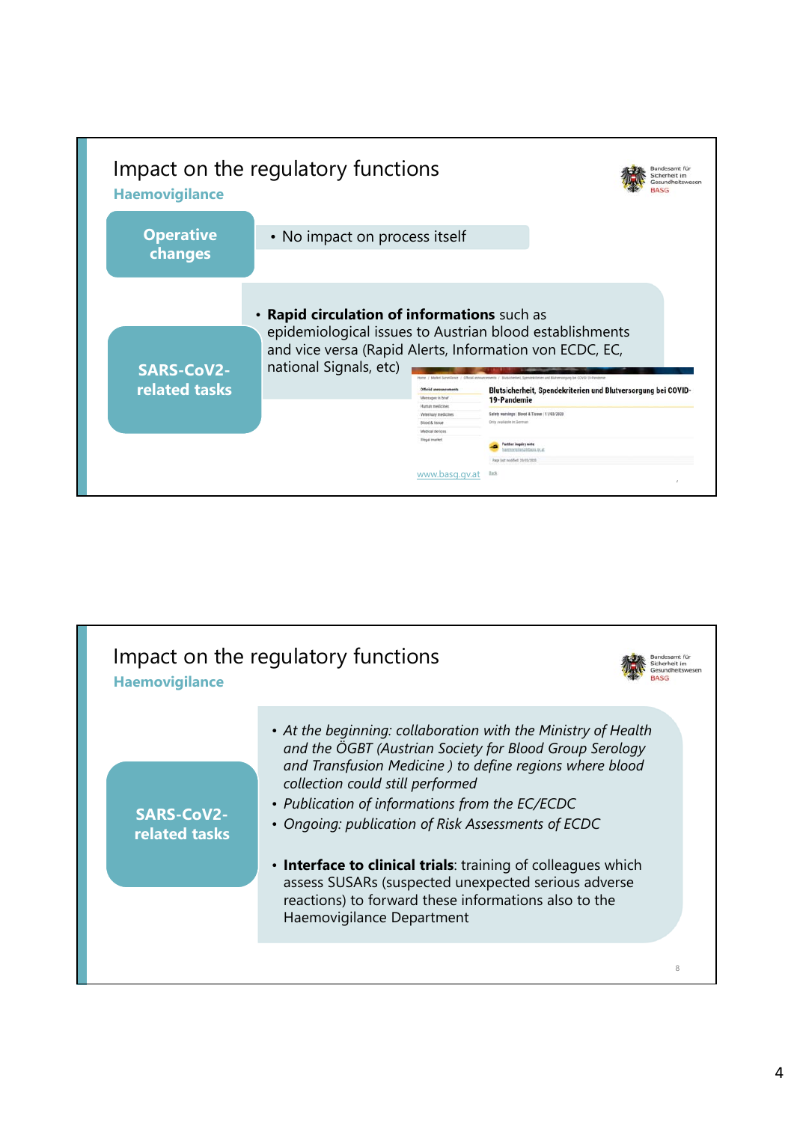

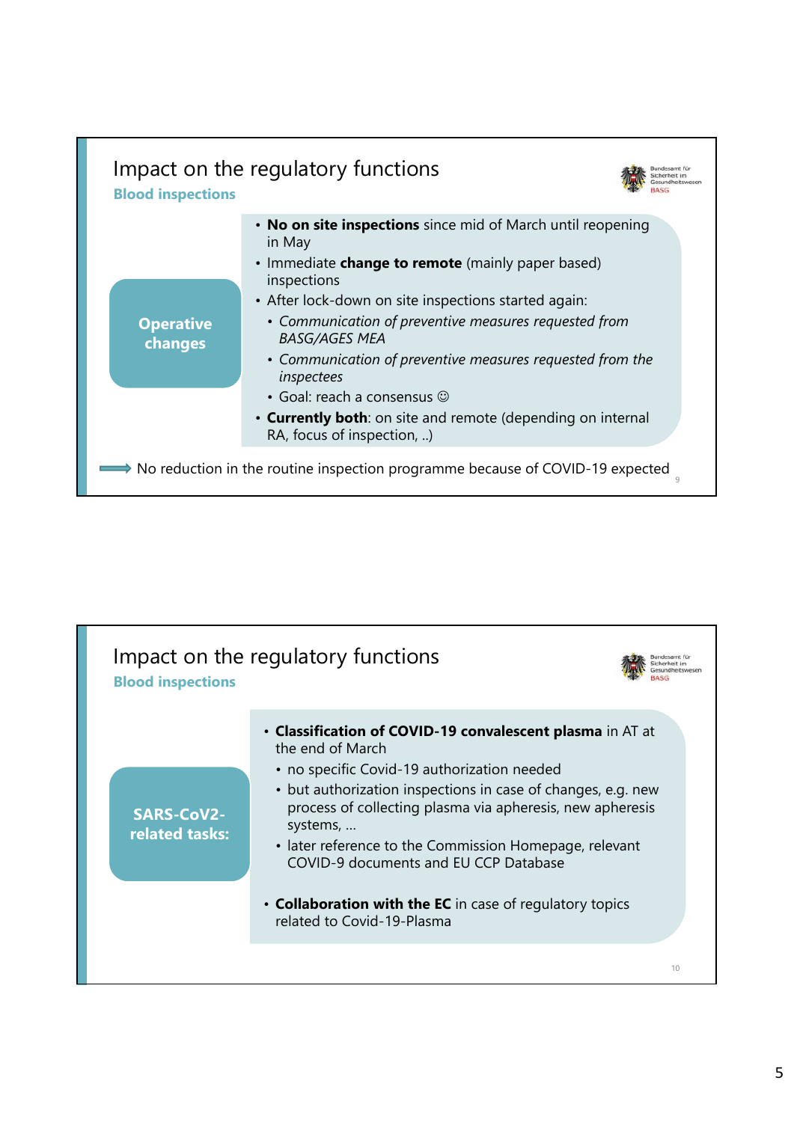

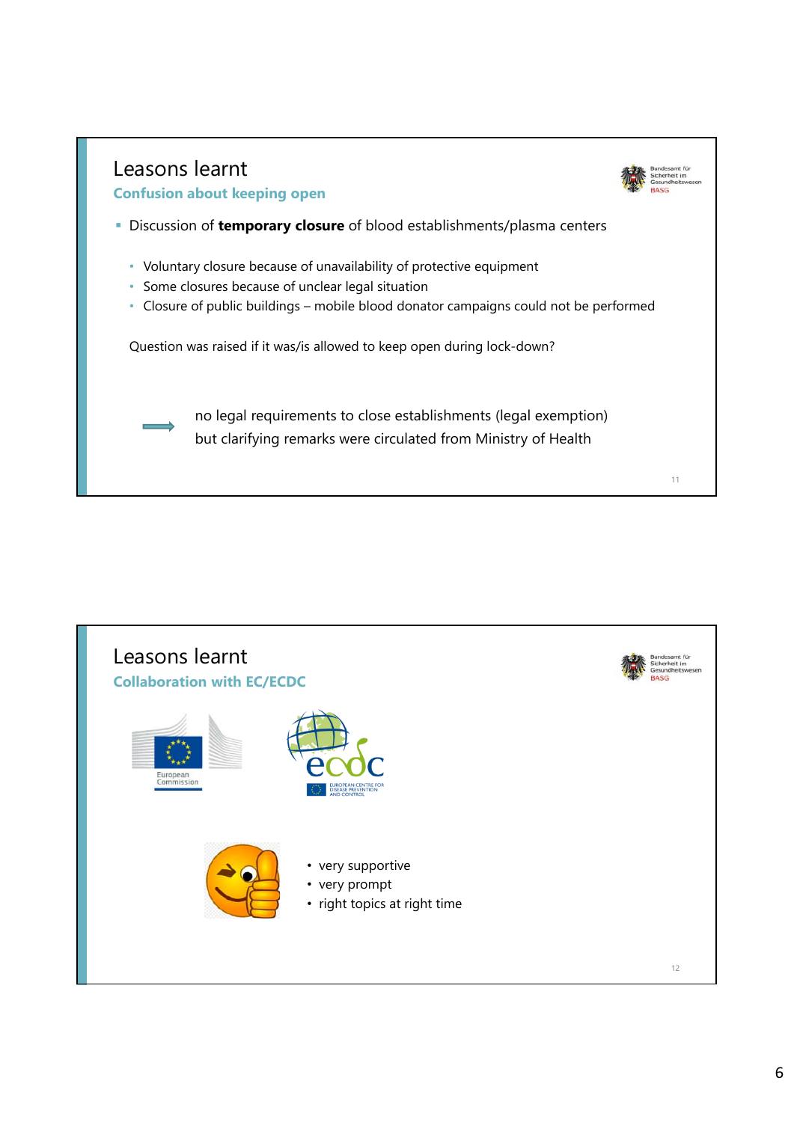

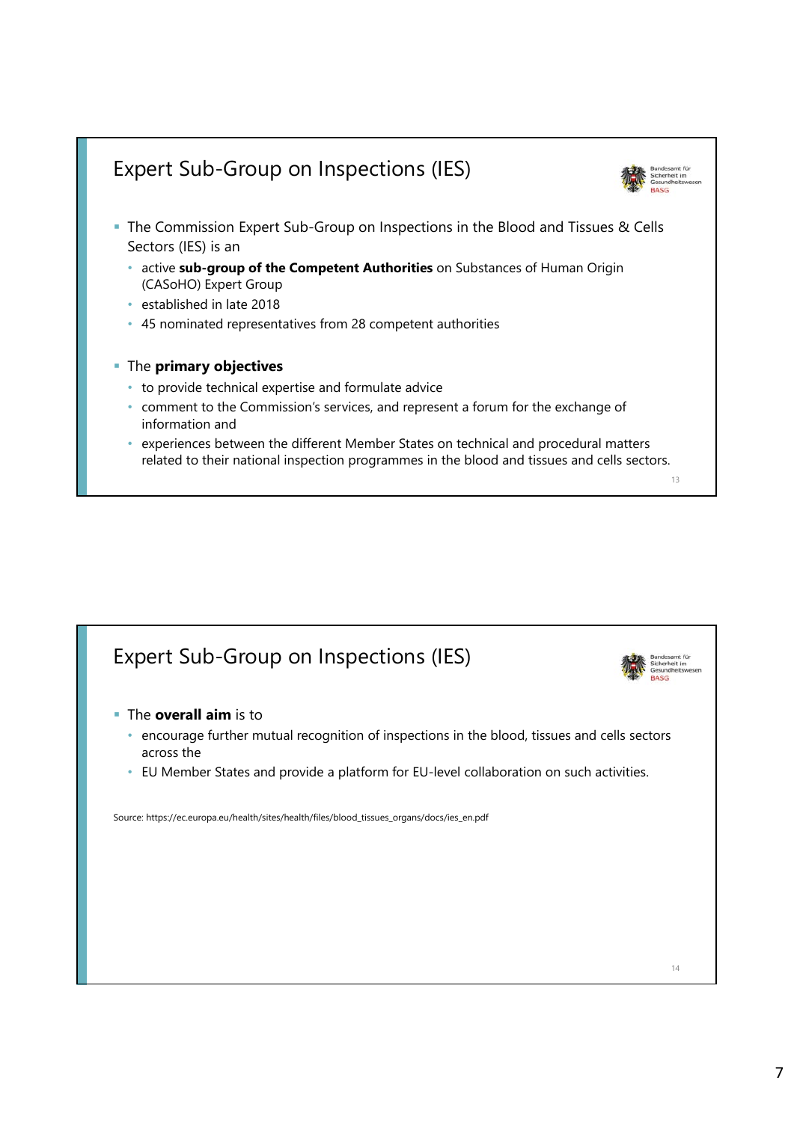# Expert Sub-Group on Inspections (IES)



- The Commission Expert Sub-Group on Inspections in the Blood and Tissues & Cells Sectors (IES) is an
	- active **sub-group of the Competent Authorities** on Substances of Human Origin (CASoHO) Expert Group
	- established in late 2018
	- 45 nominated representatives from 28 competent authorities
- The **primary objectives** 
	- to provide technical expertise and formulate advice
	- comment to the Commission's services, and represent a forum for the exchange of information and
	- experiences between the different Member States on technical and procedural matters related to their national inspection programmes in the blood and tissues and cells sectors.

```
13
```
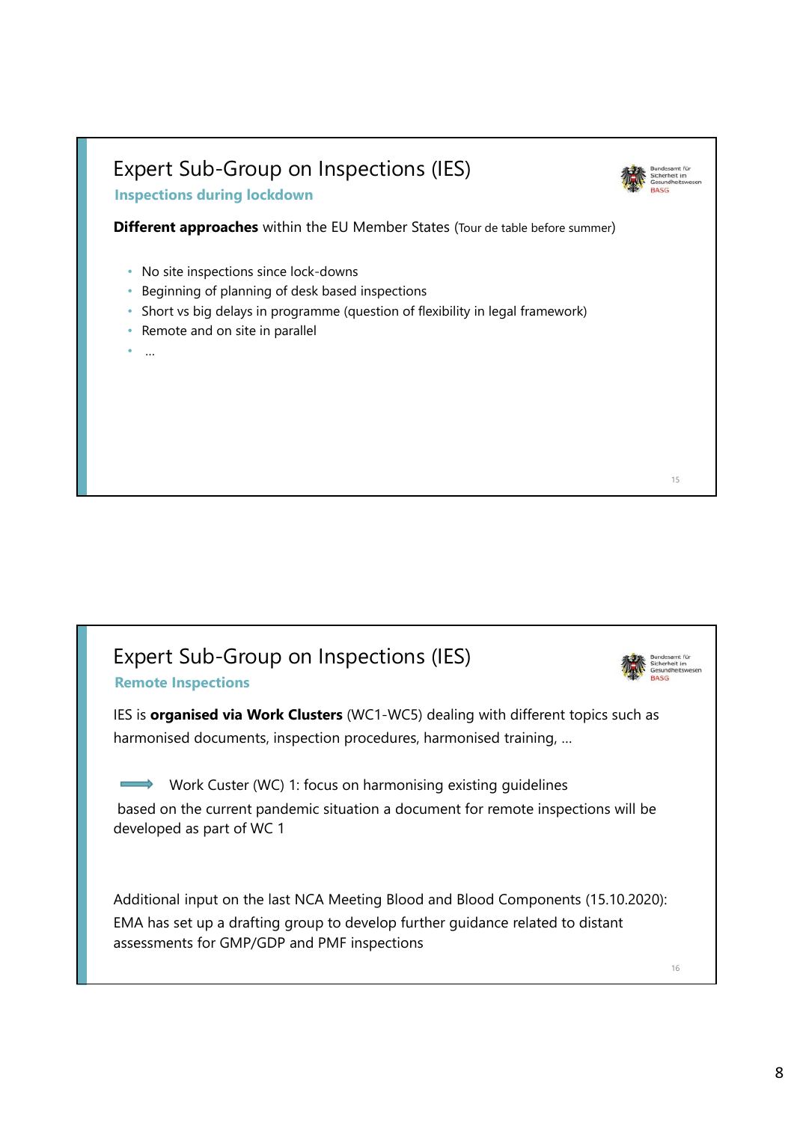## Expert Sub-Group on Inspections (IES)



15

**Inspections during lockdown**

**Different approaches** within the EU Member States (Tour de table before summer)

- No site inspections since lock-downs
- Beginning of planning of desk based inspections
- Short vs big delays in programme (question of flexibility in legal framework)
- Remote and on site in parallel
- …